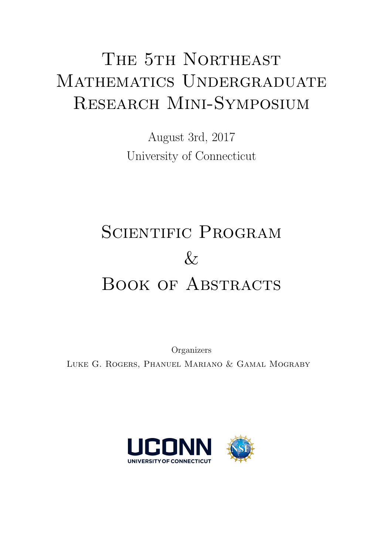# THE 5TH NORTHEAST MATHEMATICS UNDERGRADUATE Research Mini-Symposium

August 3rd, 2017 University of Connecticut

# SCIENTIFIC PROGRAM  $\&$ BOOK OF ABSTRACTS

Organizers Luke G. Rogers, Phanuel Mariano & Gamal Mograby

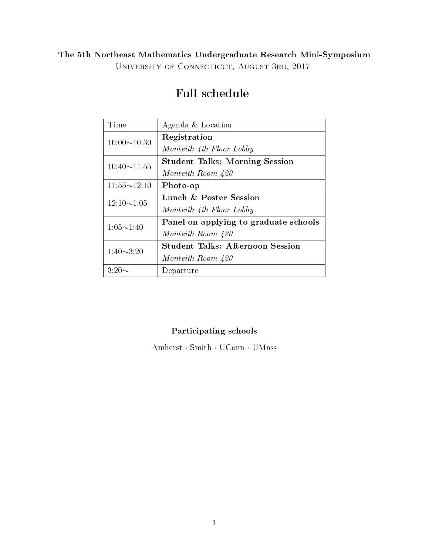## The 5th Northeast Mathematics Undergraduate Research Mini-Symposium University of Connecticut, August 3rd, 2017

| Time               | Agenda & Location                       |
|--------------------|-----------------------------------------|
| $10:00 \sim 10:30$ | Registration                            |
|                    | Monteith 4th Floor Lobby                |
| $10:40 \sim 11:55$ | <b>Student Talks: Morning Session</b>   |
|                    | Monteith Room 420                       |
| $11:55 \sim 12:10$ | Photo-op                                |
| $12:10 \sim 1:05$  | Lunch & Poster Session                  |
|                    | Monteith 4th Floor Lobby                |
| $1:05 \sim 1:40$   | Panel on applying to graduate schools   |
|                    | Monteith Room 420                       |
| $1:40 \sim 3:20$   | <b>Student Talks: Afternoon Session</b> |
|                    | Monteith Room 420                       |
| $3:20\sim$         | Departure                               |

## Full schedule

### Participating schools

Amherst · Smith · UConn · UMass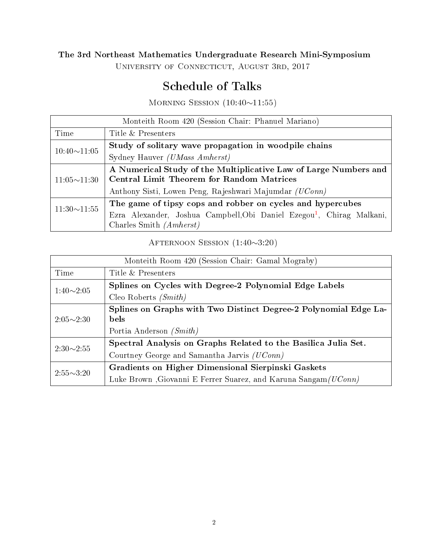## The 3rd Northeast Mathematics Undergraduate Research Mini-Symposium

University of Connecticut, August 3rd, 2017

## Schedule of Talks

MORNING SESSION (10:40∼11:55)

| Monteith Room 420 (Session Chair: Phanuel Mariano) |                                                                                   |  |
|----------------------------------------------------|-----------------------------------------------------------------------------------|--|
| Time                                               | Title & Presenters                                                                |  |
| $10:40 \sim 11:05$                                 | Study of solitary wave propagation in woodpile chains                             |  |
|                                                    | Sydney Hauver <i>(UMass Amherst)</i>                                              |  |
| $11:05 \sim 11:30$                                 | A Numerical Study of the Multiplicative Law of Large Numbers and                  |  |
|                                                    | <b>Central Limit Theorem for Random Matrices</b>                                  |  |
|                                                    | Anthony Sisti, Lowen Peng, Rajeshwari Majumdar (UConn)                            |  |
| $11:30 \sim 11:55$                                 | The game of tipsy cops and robber on cycles and hypercubes                        |  |
|                                                    | Ezra Alexander, Joshua Campbell, Obi Daniel Ezegou <sup>1</sup> , Chirag Malkani, |  |
|                                                    | Charles Smith $(Amherst)$                                                         |  |

Afternoon Session (1:40∼3:20)

| Monteith Room 420 (Session Chair: Gamal Mograby) |                                                                                 |
|--------------------------------------------------|---------------------------------------------------------------------------------|
| Time                                             | Title & Presenters                                                              |
| $1:40\sim2:05$                                   | Splines on Cycles with Degree-2 Polynomial Edge Labels                          |
|                                                  | Cleo Roberts $(Smith)$                                                          |
| $2:05 \sim 2:30$                                 | Splines on Graphs with Two Distinct Degree-2 Polynomial Edge La-<br><b>bels</b> |
|                                                  | Portia Anderson (Smith)                                                         |
| $2:30\sim2:55$                                   | Spectral Analysis on Graphs Related to the Basilica Julia Set.                  |
|                                                  | Courtney George and Samantha Jarvis (UConn)                                     |
| $2:55\sim3:20$                                   | Gradients on Higher Dimensional Sierpinski Gaskets                              |
|                                                  | Luke Brown , Giovanni E Ferrer Suarez, and Karuna Sangam (UConn)                |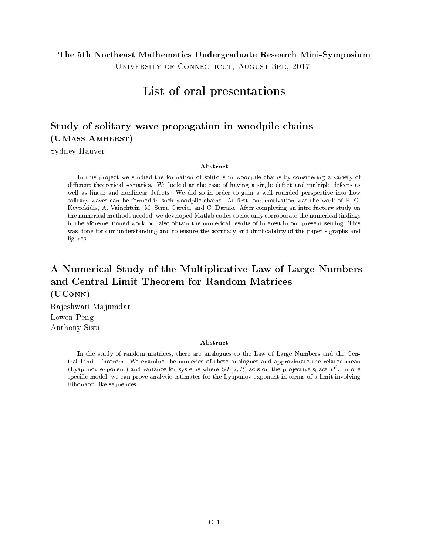### The 5th Northeast Mathematics Undergraduate Research Mini-Symposium

University of Connecticut, August 3rd, 2017

## List of oral presentations

## Study of solitary wave propagation in woodpile chains (UMass Amherst)

Sydney Hauver

#### Abstract

In this project we studied the formation of solitons in woodpile chains by considering a variety of different theoretical scenarios. We looked at the case of having a single defect and multiple defects as well as linear and nonlinear defects. We did so in order to gain a well rounded perspective into how solitary waves can be formed in such woodpile chains. At first, our motivation was the work of P. G. Kevrekidis, A. Vainchtein, M. Serra Garcia, and C. Daraio. After completing an introductory study on the numerical methods needed, we developed Matlab codes to not only corroborate the numerical findings in the aforementioned work but also obtain the numerical results of interest in our present setting. This was done for our understanding and to ensure the accuracy and duplicability of the paper's graphs and figures.

## A Numerical Study of the Multiplicative Law of Large Numbers and Central Limit Theorem for Random Matrices (UConn)

Rajeshwari Majumdar Lowen Peng Anthony Sisti

#### Abstract

In the study of random matrices, there are analogues to the Law of Large Numbers and the Central Limit Theorem. We examine the numerics of these analogues and approximate the related mean (Lyapunov exponent) and variance for systems where  $GL(2,R)$  acts on the projective space  $P^2$ . In one specific model, we can prove analytic estimates for the Lyapunov exponent in terms of a limit involving Fibonacci like sequences.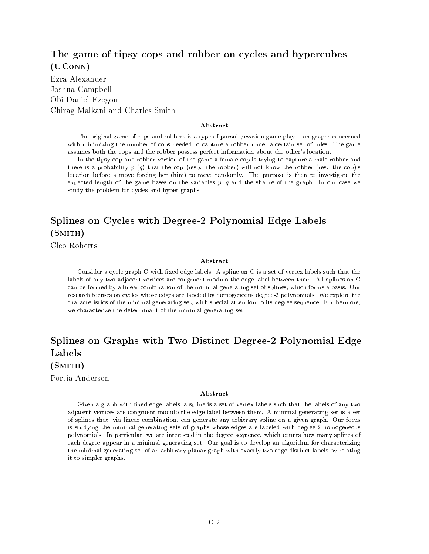### The game of tipsy cops and robber on cycles and hypercubes (UConn)

Ezra Alexander Joshua Campbell Obi Daniel Ezegou Chirag Malkani and Charles Smith

#### Abstract

The original game of cops and robbers is a type of pursuit/evasion game played on graphs concerned with minimizing the number of cops needed to capture a robber under a certain set of rules. The game assumes both the cops and the robber possess perfect information about the other's location.

In the tipsy cop and robber version of the game a female cop is trying to capture a male robber and there is a probability  $p(q)$  that the cop (resp. the robber) will not know the robber (res. the cop)'s location before a move forcing her (him) to move randomly. The purpose is then to investigate the expected length of the game bases on the variables  $p, q$  and the shapre of the graph. In our case we study the problem for cycles and hyper graphs.

## Splines on Cycles with Degree-2 Polynomial Edge Labels  $(SMITH)$

Cleo Roberts

#### Abstract

Consider a cycle graph  $C$  with fixed edge labels. A spline on  $C$  is a set of vertex labels such that the labels of any two adjacent vertices are congruent modulo the edge label between them. All splines on C can be formed by a linear combination of the minimal generating set of splines, which forms a basis. Our research focuses on cycles whose edges are labeled by homogeneous degree-2 polynomials. We explore the characteristics of the minimal generating set, with special attention to its degree sequence. Furthermore, we characterize the determinant of the minimal generating set.

## Splines on Graphs with Two Distinct Degree-2 Polynomial Edge Labels

 $(SMITH)$ 

Portia Anderson

#### Abstract

Given a graph with fixed edge labels, a spline is a set of vertex labels such that the labels of any two adjacent vertices are congruent modulo the edge label between them. A minimal generating set is a set of splines that, via linear combination, can generate any arbitrary spline on a given graph. Our focus is studying the minimal generating sets of graphs whose edges are labeled with degree-2 homogeneous polynomials. In particular, we are interested in the degree sequence, which counts how many splines of each degree appear in a minimal generating set. Our goal is to develop an algorithm for characterizing the minimal generating set of an arbitrary planar graph with exactly two edge distinct labels by relating it to simpler graphs.